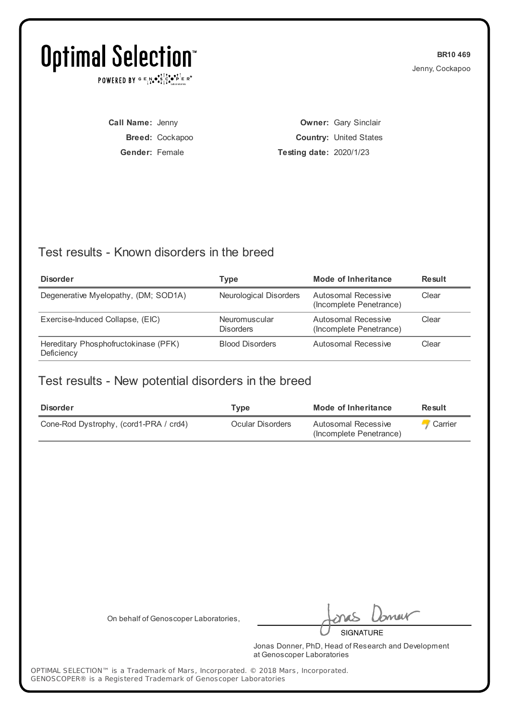POWERED BY  $G \in N_{\bullet} \bullet_{\bullet}^{\dagger} \mathbb{I}_{\bullet}^{\dagger} \bullet_{\mathbf{P}}^{\dagger} \mathbb{E} \mathbb{R}^{\circ}$ 

**BR10 469** Jenny, Cockapoo

**Call Name:** Jenny **Breed:** Cockapoo **Gender:** Female

**Owner:** Gary Sinclair **Country:** United States **Testing date:** 2020/1/23

### Test results - Known disorders in the breed

| <b>Disorder</b>                                    | Type                              | Mode of Inheritance                            | <b>Result</b> |
|----------------------------------------------------|-----------------------------------|------------------------------------------------|---------------|
| Degenerative Myelopathy, (DM; SOD1A)               | Neurological Disorders            | Autosomal Recessive<br>(Incomplete Penetrance) | Clear         |
| Exercise-Induced Collapse, (EIC)                   | Neuromuscular<br><b>Disorders</b> | Autosomal Recessive<br>(Incomplete Penetrance) | Clear         |
| Hereditary Phosphofructokinase (PFK)<br>Deficiency | <b>Blood Disorders</b>            | Autosomal Recessive                            | Clear         |

### Test results - New potential disorders in the breed

| <b>Disorder</b>                        | Tvpe             | Mode of Inheritance                            | <b>Result</b>  |
|----------------------------------------|------------------|------------------------------------------------|----------------|
| Cone-Rod Dystrophy, (cord1-PRA / crd4) | Ocular Disorders | Autosomal Recessive<br>(Incomplete Penetrance) | <b>Carrier</b> |

On behalf of Genoscoper Laboratories,

meit

**SIGNATURE** 

Jonas Donner, PhD, Head of Research and Development at Genoscoper Laboratories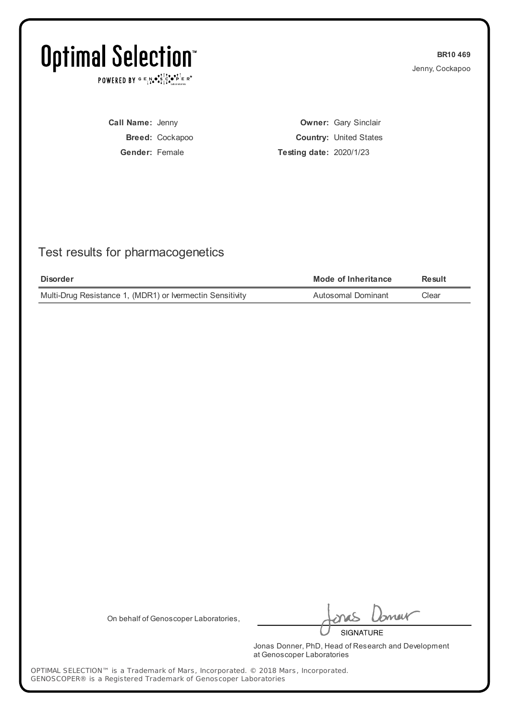POWERED BY  $G \in N_{\bullet} \bullet_{\bullet}^{\dagger} \mathbb{I}_{\bullet}^{\dagger} \bullet_{\mathbf{P}}^{\dagger} \mathbb{E} \mathbb{R}^{\circ}$ 

**BR10 469** Jenny, Cockapoo

**Call Name:** Jenny **Breed:** Cockapoo **Gender:** Female

**Owner:** Gary Sinclair **Country:** United States **Testing date:** 2020/1/23

## Test results for pharmacogenetics

| <b>Disorder</b>                                           | Mode of Inheritance | Result |
|-----------------------------------------------------------|---------------------|--------|
| Multi-Drug Resistance 1, (MDR1) or Ivermectin Sensitivity | Autosomal Dominant  | Clear  |

On behalf of Genoscoper Laboratories,

meik **SIGNATURE** 

Jonas Donner, PhD, Head of Research and Development at Genoscoper Laboratories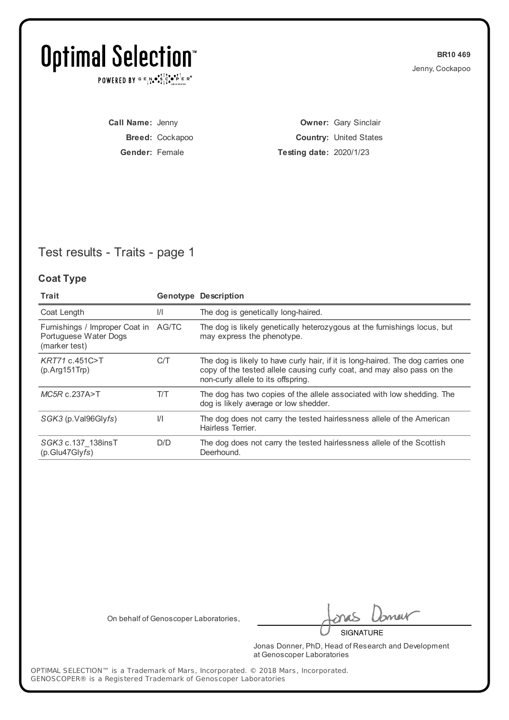POWERED BY  $G \in N_{\bullet} \bullet_{\bullet}^{\dagger} \mathbb{I}_{\bullet}^{\dagger} \bullet_{\mathbf{P}}^{\dagger} \mathbb{E} \mathbb{R}^{\circ}$ 

**BR10 469** Jenny, Cockapoo

**Call Name:** Jenny **Breed:** Cockapoo **Gender:** Female

**Owner:** Gary Sinclair **Country:** United States **Testing date:** 2020/1/23

## Test results - Traits - page 1

#### **Coat Type**

| Trait                                                                          |               | <b>Genotype Description</b>                                                                                                                                                                     |
|--------------------------------------------------------------------------------|---------------|-------------------------------------------------------------------------------------------------------------------------------------------------------------------------------------------------|
| Coat Length                                                                    | $\frac{1}{1}$ | The dog is genetically long-haired.                                                                                                                                                             |
| Furnishings / Improper Coat in AG/TC<br>Portuguese Water Dogs<br>(marker test) |               | The dog is likely genetically heterozygous at the furnishings locus, but<br>may express the phenotype.                                                                                          |
| KRT71 c.451C>T<br>$(p. Arg151$ Trp $)$                                         | C/T           | The dog is likely to have curly hair, if it is long-haired. The dog carries one<br>copy of the tested allele causing curly coat, and may also pass on the<br>non-curly allele to its offspring. |
| $MC5R$ c.237A>T                                                                | T/T           | The dog has two copies of the allele associated with low shedding. The<br>dog is likely average or low shedder.                                                                                 |
| SGK3 (p.Val96Glyfs)                                                            | $\frac{1}{1}$ | The dog does not carry the tested hairlessness allele of the American<br>Hairless Terrier.                                                                                                      |
| SGK3 c.137 138insT<br>(p.Glu47Glyfs)                                           | D/D           | The dog does not carry the tested hairlessness allele of the Scottish<br>Deerhound.                                                                                                             |

On behalf of Genoscoper Laboratories,

meik

**SIGNATURE** 

Jonas Donner, PhD, Head of Research and Development at Genoscoper Laboratories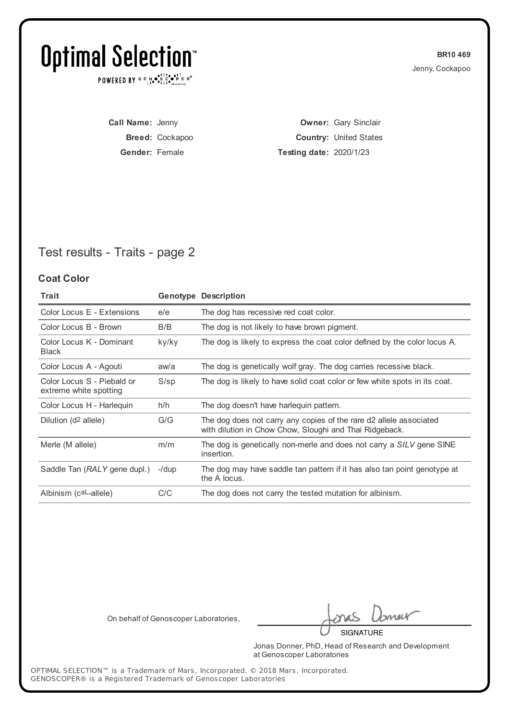POWERED BY  $G \in N_{\bullet} \bullet_{\bullet}^{\dagger} \mathbb{I}_{\bullet}^{\dagger} \bullet_{\mathbf{P}}^{\dagger} \mathbb{E} \mathbb{R}^{\circ}$ 

**BR10 469** Jenny, Cockapoo

**Call Name:** Jenny **Breed:** Cockapoo **Gender:** Female

**Owner:** Gary Sinclair **Country:** United States **Testing date:** 2020/1/23

## Test results - Traits - page 2

#### **Coat Color**

| <b>Trait</b>                                         |         | <b>Genotype Description</b>                                                                                                   |
|------------------------------------------------------|---------|-------------------------------------------------------------------------------------------------------------------------------|
| Color Locus E - Extensions                           | e/e     | The dog has recessive red coat color.                                                                                         |
| Color Locus B - Brown                                | B/B     | The dog is not likely to have brown pigment.                                                                                  |
| Color Locus K - Dominant<br><b>Black</b>             | ky/ky   | The dog is likely to express the coat color defined by the color locus A.                                                     |
| Color Locus A - Agouti                               | aw/a    | The dog is genetically wolf gray. The dog carries recessive black.                                                            |
| Color Locus S - Piebald or<br>extreme white spotting | $S$ /sp | The dog is likely to have solid coat color or few white spots in its coat.                                                    |
| Color Locus H - Harleguin                            | h/h     | The dog doesn't have harleguin pattern.                                                                                       |
| Dilution (d <sup>2</sup> allele)                     | G/G     | The dog does not carry any copies of the rare d2 allele associated<br>with dilution in Chow Chow, Sloughi and Thai Ridgeback. |
| Merle (M allele)                                     | m/m     | The dog is genetically non-merle and does not carry a SILV gene SINE<br>insertion.                                            |
| Saddle Tan (RALY gene dupl.)                         | -/dup   | The dog may have saddle tan pattern if it has also tan point genotype at<br>the A locus.                                      |
| Albinism (caL-allele)                                | C/C     | The dog does not carry the tested mutation for albinism.                                                                      |

On behalf of Genoscoper Laboratories,

meik

**SIGNATURE** 

Jonas Donner, PhD, Head of Research and Development at Genoscoper Laboratories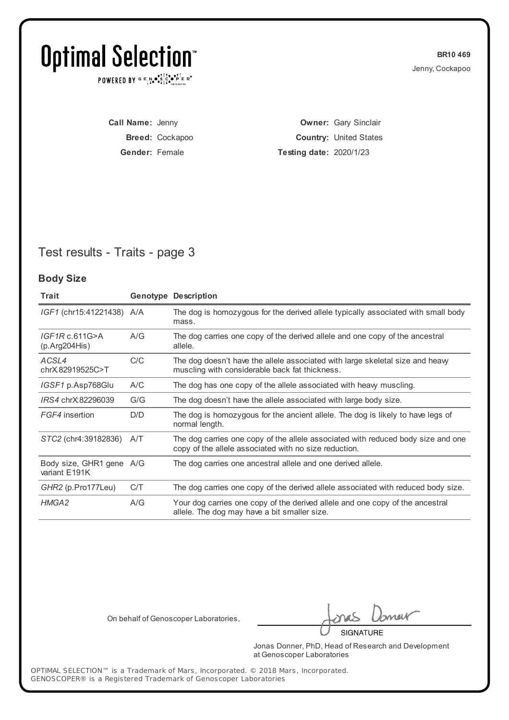POWERED BY  $G \in N_{\bullet} \bullet_{\bullet}^{\dagger} \mathbb{I}_{\bullet}^{\dagger} \bullet_{\mathbf{P}}^{\dagger} \mathbb{E} \mathbb{R}^{\circ}$ 

**BR10 469** Jenny, Cockapoo

**Call Name:** Jenny **Breed:** Cockapoo **Gender:** Female

**Owner:** Gary Sinclair **Country:** United States **Testing date:** 2020/1/23

## Test results - Traits - page 3

#### **Body Size**

| Trait                                     |     | <b>Genotype Description</b>                                                                                                               |
|-------------------------------------------|-----|-------------------------------------------------------------------------------------------------------------------------------------------|
| <i>IGF1</i> (chr15:41221438) A/A          |     | The dog is homozygous for the derived allele typically associated with small body<br>mass.                                                |
| IGF1Rc.611G>A<br>(p. Arg204His)           | A/G | The dog carries one copy of the derived allele and one copy of the ancestral<br>allele.                                                   |
| ACSL4<br>chrX82919525C>T                  | C/C | The dog doesn't have the allele associated with large skeletal size and heavy<br>muscling with considerable back fat thickness.           |
| IGSF1 p.Asp768Glu                         | A/C | The dog has one copy of the allele associated with heavy muscling.                                                                        |
| IRS4 chrX:82296039                        | G/G | The dog doesn't have the allele associated with large body size.                                                                          |
| FGF4 insertion                            | D/D | The dog is homozygous for the ancient allele. The dog is likely to have legs of<br>normal length.                                         |
| STC2 (chr4:39182836)                      | A/T | The dog carries one copy of the allele associated with reduced body size and one<br>copy of the allele associated with no size reduction. |
| Body size, GHR1 gene A/G<br>variant E191K |     | The dog carries one ancestral allele and one derived allele.                                                                              |
| GHR2 (p.Pro177Leu)                        | C/T | The dog carries one copy of the derived allele associated with reduced body size.                                                         |
| HMGA2                                     | A/G | Your dog carries one copy of the derived allele and one copy of the ancestral<br>allele. The dog may have a bit smaller size.             |

On behalf of Genoscoper Laboratories,

meik

**SIGNATURE** 

Jonas Donner, PhD, Head of Research and Development at Genoscoper Laboratories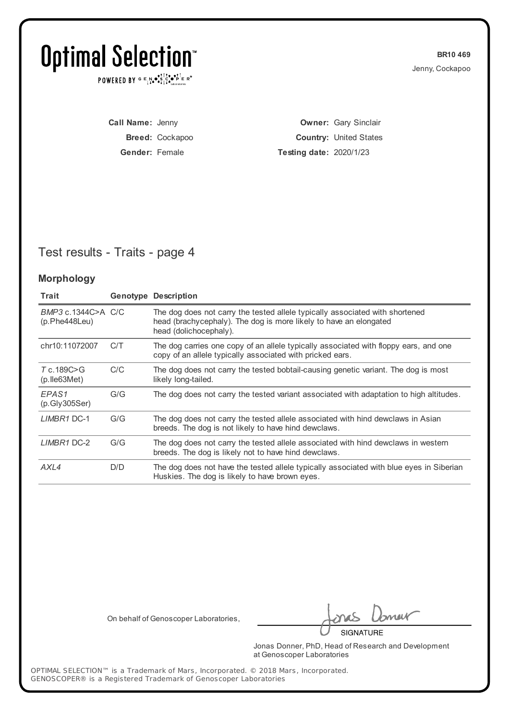POWERED BY  $G \in N_{\bullet} \bullet_{\bullet}^{\dagger} \mathbb{I}_{\bullet}^{\dagger} \bullet_{\mathbf{P}}^{\dagger} \mathbb{E} \mathbb{R}^{\circ}$ 

**BR10 469** Jenny, Cockapoo

**Call Name:** Jenny **Breed:** Cockapoo **Gender:** Female

**Owner:** Gary Sinclair **Country:** United States **Testing date:** 2020/1/23

## Test results - Traits - page 4

#### **Morphology**

| Trait                               |     | <b>Genotype Description</b>                                                                                                                                                 |
|-------------------------------------|-----|-----------------------------------------------------------------------------------------------------------------------------------------------------------------------------|
| BMP3 c.1344C>A C/C<br>(p.Phe448Leu) |     | The dog does not carry the tested allele typically associated with shortened<br>head (brachycephaly). The dog is more likely to have an elongated<br>head (dolichocephaly). |
| chr10:11072007                      | C/T | The dog carries one copy of an allele typically associated with floppy ears, and one<br>copy of an allele typically associated with pricked ears.                           |
| T c.189C>G<br>$(p.$ Ile 63 Met $)$  | C/C | The dog does not carry the tested bobtail-causing genetic variant. The dog is most<br>likely long-tailed.                                                                   |
| EPAS <sub>1</sub><br>(p.Gly305Ser)  | G/G | The dog does not carry the tested variant associated with adaptation to high altitudes.                                                                                     |
| LIMBR1 DC-1                         | G/G | The dog does not carry the tested allele associated with hind dewclaws in Asian<br>breeds. The dog is not likely to have hind dewclaws.                                     |
| LIMBR1 DC-2                         | G/G | The dog does not carry the tested allele associated with hind dewclaws in western<br>breeds. The dog is likely not to have hind dewclaws.                                   |
| AXL4                                | D/D | The dog does not have the tested allele typically associated with blue eyes in Siberian<br>Huskies. The dog is likely to have brown eyes.                                   |

On behalf of Genoscoper Laboratories,

meik

**SIGNATURE** 

Jonas Donner, PhD, Head of Research and Development at Genoscoper Laboratories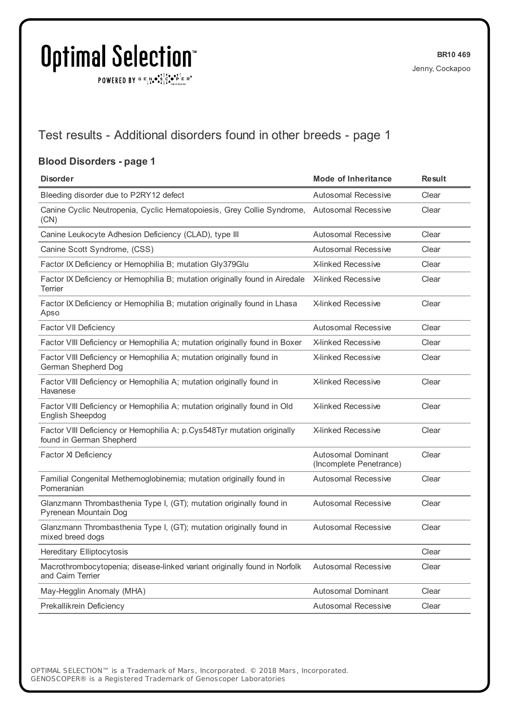$\texttt{POWERED BY} \xrightarrow{\mathbf{c}} \mathbb{I} \underset{\mathbf{a}}{\mathbf{a}} \bullet \underset{\mathbf{a}}{\mathbf{a}} \underset{\mathbf{b}}{\mathbf{a}} \circ \underset{\mathbf{b}}{\mathbf{b}} \overset{\mathbf{c}}{\mathbf{b}} \underset{\mathbf{b}}{\mathbf{b}} \circ \underset{\mathbf{c}}{\mathbf{b}} \overset{\mathbf{c}}{\mathbf{b}} \mathbf{c}} \mathbf{c}^{\circ}$ 

### Test results - Additional disorders found in other breeds - page 1

#### **Blood Disorders - page 1**

| <b>Disorder</b>                                                                                     | <b>Mode of Inheritance</b>                    | <b>Result</b> |  |
|-----------------------------------------------------------------------------------------------------|-----------------------------------------------|---------------|--|
| Bleeding disorder due to P2RY12 defect                                                              | <b>Autosomal Recessive</b>                    | Clear         |  |
| Canine Cyclic Neutropenia, Cyclic Hematopoiesis, Grey Collie Syndrome,<br>(CN)                      | Autosomal Recessive                           | Clear         |  |
| Canine Leukocyte Adhesion Deficiency (CLAD), type III                                               | <b>Autosomal Recessive</b>                    | Clear         |  |
| Canine Scott Syndrome, (CSS)                                                                        | Autosomal Recessive                           | Clear         |  |
| Factor IX Deficiency or Hemophilia B; mutation Gly379Glu                                            | <b>X-linked Recessive</b>                     | Clear         |  |
| Factor IX Deficiency or Hemophilia B; mutation originally found in Airedale<br>Terrier              | <b>X-linked Recessive</b>                     | Clear         |  |
| Factor IX Deficiency or Hemophilia B; mutation originally found in Lhasa<br>Apso                    | <b>X-linked Recessive</b>                     | Clear         |  |
| Factor VII Deficiency                                                                               | Autosomal Recessive                           | Clear         |  |
| Factor VIII Deficiency or Hemophilia A; mutation originally found in Boxer                          | <b>X-linked Recessive</b>                     | Clear         |  |
| Factor VIII Deficiency or Hemophilia A; mutation originally found in<br>German Shepherd Dog         | <b>X-linked Recessive</b>                     | Clear         |  |
| Factor VIII Deficiency or Hemophilia A; mutation originally found in<br>Havanese                    | <b>X-linked Recessive</b>                     | Clear         |  |
| Factor VIII Deficiency or Hemophilia A; mutation originally found in Old<br>English Sheepdog        | X-linked Recessive                            | Clear         |  |
| Factor VIII Deficiency or Hemophilia A; p.Cys548Tyr mutation originally<br>found in German Shepherd | <b>X-linked Recessive</b>                     | Clear         |  |
| Factor XI Deficiency                                                                                | Autosomal Dominant<br>(Incomplete Penetrance) | Clear         |  |
| Familial Congenital Methemoglobinemia; mutation originally found in<br>Pomeranian                   | <b>Autosomal Recessive</b>                    | Clear         |  |
| Glanzmann Thrombasthenia Type I, (GT); mutation originally found in<br>Pyrenean Mountain Dog        | Autosomal Recessive                           | Clear         |  |
| Glanzmann Thrombasthenia Type I, (GT); mutation originally found in<br>mixed breed dogs             | <b>Autosomal Recessive</b>                    | Clear         |  |
| <b>Hereditary Elliptocytosis</b>                                                                    |                                               | Clear         |  |
| Macrothrombocytopenia; disease-linked variant originally found in Norfolk<br>and Cairn Terrier      | <b>Autosomal Recessive</b>                    | Clear         |  |
| May-Hegglin Anomaly (MHA)                                                                           | Autosomal Dominant                            | Clear         |  |
| Prekallikrein Deficiency                                                                            | <b>Autosomal Recessive</b>                    | Clear         |  |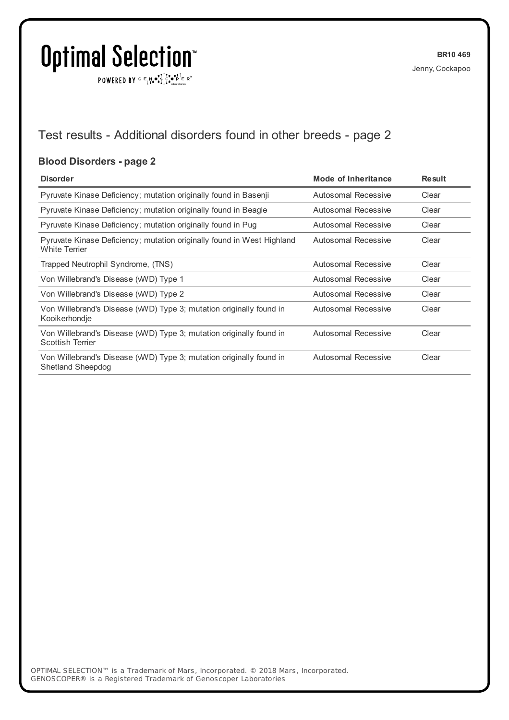$\texttt{POWERED BY} \xrightarrow{\mathbf{c}} \mathbb{I} \underset{\mathbf{a}}{\mathbf{a}} \bullet \underset{\mathbf{a}}{\mathbf{a}} \underset{\mathbf{b}}{\mathbf{a}} \circ \underset{\mathbf{b}}{\mathbf{b}} \overset{\mathbf{c}}{\mathbf{b}} \underset{\mathbf{b}}{\mathbf{b}} \circ \underset{\mathbf{c}}{\mathbf{b}} \overset{\mathbf{c}}{\mathbf{b}} \mathbf{c}} \mathbf{c}^{\circ}$ 

## Test results - Additional disorders found in other breeds - page 2

#### **Blood Disorders - page 2**

| <b>Disorder</b>                                                                                | Mode of Inheritance | <b>Result</b> |
|------------------------------------------------------------------------------------------------|---------------------|---------------|
| Pyruvate Kinase Deficiency; mutation originally found in Basenji                               | Autosomal Recessive | Clear         |
| Pyruvate Kinase Deficiency; mutation originally found in Beagle                                | Autosomal Recessive | Clear         |
| Pyruvate Kinase Deficiency; mutation originally found in Pug                                   | Autosomal Recessive | Clear         |
| Pyruvate Kinase Deficiency; mutation originally found in West Highland<br><b>White Terrier</b> | Autosomal Recessive | Clear         |
| Trapped Neutrophil Syndrome, (TNS)                                                             | Autosomal Recessive | Clear         |
| Von Willebrand's Disease (WVD) Type 1                                                          | Autosomal Recessive | Clear         |
| Von Willebrand's Disease (WVD) Type 2                                                          | Autosomal Recessive | Clear         |
| Von Willebrand's Disease (WVD) Type 3; mutation originally found in<br>Kooikerhondje           | Autosomal Recessive | Clear         |
| Von Willebrand's Disease (WVD) Type 3; mutation originally found in<br><b>Scottish Terrier</b> | Autosomal Recessive | Clear         |
| Von Willebrand's Disease (WVD) Type 3; mutation originally found in<br>Shetland Sheepdog       | Autosomal Recessive | Clear         |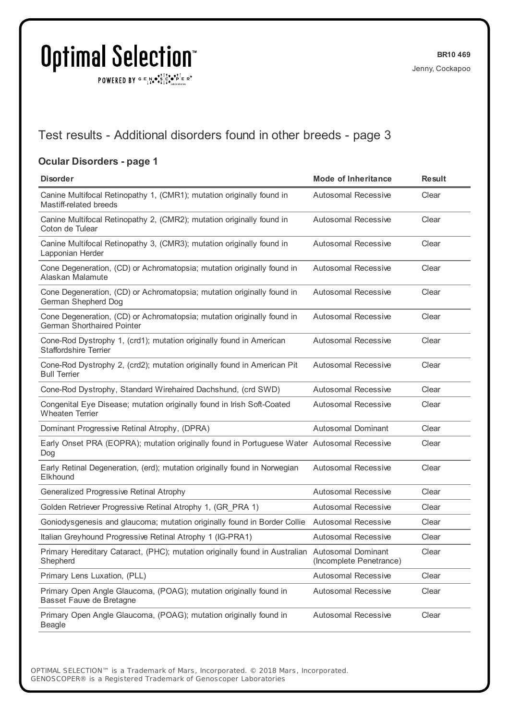$\texttt{POWERED BY} \texttt{G} \mathsf{E} \texttt{N} \bullet \texttt{S}^\texttt{T} \texttt{S}^\texttt{a} \bullet \texttt{P}^\texttt{T} \texttt{E} \texttt{R}^\texttt{B}$ 

### Test results - Additional disorders found in other breeds - page 3

#### **Ocular Disorders - page 1**

| <b>Disorder</b>                                                                                             | <b>Mode of Inheritance</b> | <b>Result</b> |
|-------------------------------------------------------------------------------------------------------------|----------------------------|---------------|
| Canine Multifocal Retinopathy 1, (CMR1); mutation originally found in<br>Mastiff-related breeds             | <b>Autosomal Recessive</b> | Clear         |
| Canine Multifocal Retinopathy 2, (CMR2); mutation originally found in<br>Coton de Tulear                    | <b>Autosomal Recessive</b> | Clear         |
| Canine Multifocal Retinopathy 3, (CMR3); mutation originally found in<br>Lapponian Herder                   | <b>Autosomal Recessive</b> | Clear         |
| Cone Degeneration, (CD) or Achromatopsia; mutation originally found in<br>Alaskan Malamute                  | <b>Autosomal Recessive</b> | Clear         |
| Cone Degeneration, (CD) or Achromatopsia; mutation originally found in<br>German Shepherd Dog               | <b>Autosomal Recessive</b> | Clear         |
| Cone Degeneration, (CD) or Achromatopsia; mutation originally found in<br><b>German Shorthaired Pointer</b> | <b>Autosomal Recessive</b> | Clear         |
| Cone-Rod Dystrophy 1, (crd1); mutation originally found in American<br><b>Staffordshire Terrier</b>         | <b>Autosomal Recessive</b> | Clear         |
| Cone-Rod Dystrophy 2, (crd2); mutation originally found in American Pit<br><b>Bull Terrier</b>              | <b>Autosomal Recessive</b> | Clear         |
| Cone-Rod Dystrophy, Standard Wirehaired Dachshund, (crd SWD)                                                | <b>Autosomal Recessive</b> | Clear         |
| Congenital Eye Disease; mutation originally found in Irish Soft-Coated<br><b>Wheaten Terrier</b>            | <b>Autosomal Recessive</b> | Clear         |
| Dominant Progressive Retinal Atrophy, (DPRA)                                                                | <b>Autosomal Dominant</b>  | Clear         |
| Early Onset PRA (EOPRA); mutation originally found in Portuguese Water Autosomal Recessive<br>Dog           |                            | Clear         |
| Early Retinal Degeneration, (erd); mutation originally found in Norwegian<br>Elkhound                       | <b>Autosomal Recessive</b> | Clear         |
| Generalized Progressive Retinal Atrophy                                                                     | <b>Autosomal Recessive</b> | Clear         |
| Golden Retriever Progressive Retinal Atrophy 1, (GR PRA 1)                                                  | <b>Autosomal Recessive</b> | Clear         |
| Goniodysgenesis and glaucoma; mutation originally found in Border Collie                                    | <b>Autosomal Recessive</b> | Clear         |
| Italian Greyhound Progressive Retinal Atrophy 1 (IG-PRA1)                                                   | <b>Autosomal Recessive</b> | Clear         |
| Primary Hereditary Cataract, (PHC); mutation originally found in Australian Autosomal Dominant<br>Shepherd  | (Incomplete Penetrance)    | Clear         |
| Primary Lens Luxation, (PLL)                                                                                | Autosomal Recessive        | Clear         |
| Primary Open Angle Glaucoma, (POAG); mutation originally found in<br>Basset Fauve de Bretagne               | <b>Autosomal Recessive</b> | Clear         |
| Primary Open Angle Glaucoma, (POAG); mutation originally found in<br><b>Beagle</b>                          | <b>Autosomal Recessive</b> | Clear         |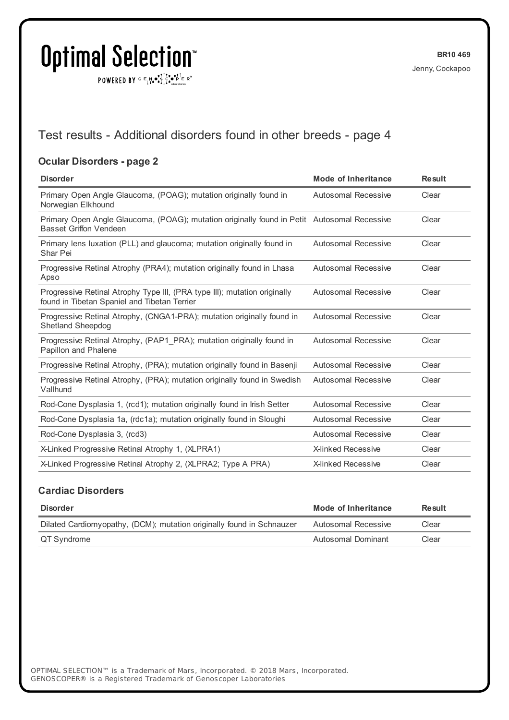$\texttt{POWERED BY} \xrightarrow{\mathbf{c}} \mathbb{I} \underset{\mathbf{a}}{\mathbf{a}} \bullet \underset{\mathbf{a}}{\mathbf{a}} \underset{\mathbf{b}}{\mathbf{a}} \circ \underset{\mathbf{b}}{\mathbf{b}} \overset{\mathbf{c}}{\mathbf{b}} \underset{\mathbf{b}}{\mathbf{b}} \circ \underset{\mathbf{c}}{\mathbf{b}} \overset{\mathbf{c}}{\mathbf{b}} \mathbf{c}} \mathbf{c}^{\circ}$ 

### Test results - Additional disorders found in other breeds - page 4

#### **Ocular Disorders - page 2**

| <b>Disorder</b>                                                                                                              | <b>Mode of Inheritance</b> | <b>Result</b> |
|------------------------------------------------------------------------------------------------------------------------------|----------------------------|---------------|
| Primary Open Angle Glaucoma, (POAG); mutation originally found in<br>Norwegian Elkhound                                      | <b>Autosomal Recessive</b> | Clear         |
| Primary Open Angle Glaucoma, (POAG); mutation originally found in Petit Autosomal Recessive<br><b>Basset Griffon Vendeen</b> |                            | Clear         |
| Primary lens luxation (PLL) and glaucoma; mutation originally found in<br>Shar Pei                                           | Autosomal Recessive        | Clear         |
| Progressive Retinal Atrophy (PRA4); mutation originally found in Lhasa<br>Apso                                               | <b>Autosomal Recessive</b> | Clear         |
| Progressive Retinal Atrophy Type III, (PRA type III); mutation originally<br>found in Tibetan Spaniel and Tibetan Terrier    | Autosomal Recessive        | Clear         |
| Progressive Retinal Atrophy, (CNGA1-PRA); mutation originally found in<br><b>Shetland Sheepdog</b>                           | Autosomal Recessive        | Clear         |
| Progressive Retinal Atrophy, (PAP1 PRA); mutation originally found in<br>Papillon and Phalene                                | <b>Autosomal Recessive</b> | Clear         |
| Progressive Retinal Atrophy, (PRA); mutation originally found in Basenii                                                     | <b>Autosomal Recessive</b> | Clear         |
| Progressive Retinal Atrophy, (PRA); mutation originally found in Swedish<br>Vallhund                                         | Autosomal Recessive        | Clear         |
| Rod-Cone Dysplasia 1, (rcd1); mutation originally found in Irish Setter                                                      | <b>Autosomal Recessive</b> | Clear         |
| Rod-Cone Dysplasia 1a, (rdc1a); mutation originally found in Sloughi                                                         | <b>Autosomal Recessive</b> | Clear         |
| Rod-Cone Dysplasia 3, (rcd3)                                                                                                 | Autosomal Recessive        | Clear         |
| X-Linked Progressive Retinal Atrophy 1, (XLPRA1)                                                                             | <b>X-linked Recessive</b>  | Clear         |
| X-Linked Progressive Retinal Atrophy 2, (XLPRA2; Type A PRA)                                                                 | <b>X-linked Recessive</b>  | Clear         |

#### **Cardiac Disorders**

| <b>Disorder</b>                                                       | Mode of Inheritance | Result |
|-----------------------------------------------------------------------|---------------------|--------|
| Dilated Cardiomyopathy, (DCM); mutation originally found in Schnauzer | Autosomal Recessive | Clear  |
| QT Syndrome                                                           | Autosomal Dominant  | Clear  |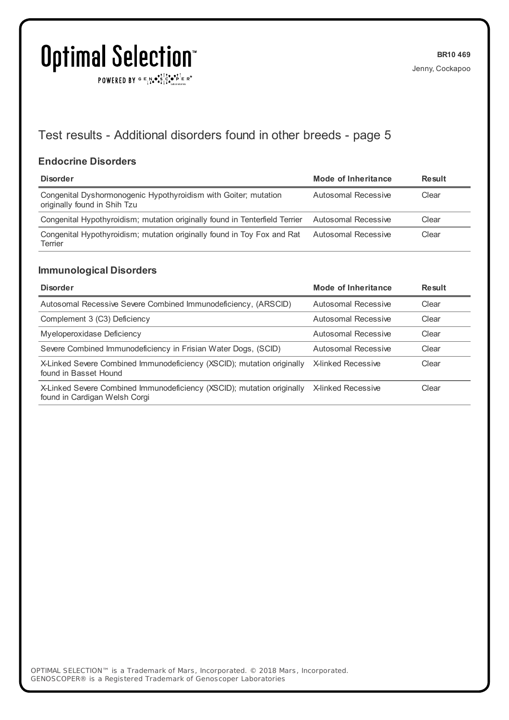$\texttt{POWERED BY} \xrightarrow{\mathbf{c}} \mathbb{I} \underset{\mathbf{a}}{\mathbf{a}} \bullet \underset{\mathbf{a}}{\mathbf{a}} \underset{\mathbf{b}}{\mathbf{a}} \circ \underset{\mathbf{b}}{\mathbf{b}} \overset{\mathbf{c}}{\mathbf{b}} \underset{\mathbf{b}}{\mathbf{b}} \circ \underset{\mathbf{c}}{\mathbf{b}} \overset{\mathbf{c}}{\mathbf{b}} \mathbf{c}} \mathbf{c}^{\circ}$ 

## Test results - Additional disorders found in other breeds - page 5

#### **Endocrine Disorders**

| <b>Disorder</b>                                                                                 | Mode of Inheritance | <b>Result</b> |
|-------------------------------------------------------------------------------------------------|---------------------|---------------|
| Congenital Dyshormonogenic Hypothyroidism with Goiter; mutation<br>originally found in Shih Tzu | Autosomal Recessive | Clear         |
| Congenital Hypothyroidism; mutation originally found in Tenterfield Terrier                     | Autosomal Recessive | Clear         |
| Congenital Hypothyroidism; mutation originally found in Toy Fox and Rat<br>Terrier              | Autosomal Recessive | Clear         |

#### **Immunological Disorders**

| <b>Disorder</b>                                                                                         | Mode of Inheritance       | Result |
|---------------------------------------------------------------------------------------------------------|---------------------------|--------|
| Autosomal Recessive Severe Combined Immunodeficiency, (ARSCID)                                          | Autosomal Recessive       | Clear  |
| Complement 3 (C3) Deficiency                                                                            | Autosomal Recessive       | Clear  |
| Myeloperoxidase Deficiency                                                                              | Autosomal Recessive       | Clear  |
| Severe Combined Immunodeficiency in Frisian Water Dogs, (SCID)                                          | Autosomal Recessive       | Clear  |
| X-Linked Severe Combined Immunodeficiency (XSCID); mutation originally<br>found in Basset Hound         | <b>X-linked Recessive</b> | Clear  |
| X-Linked Severe Combined Immunodeficiency (XSCID); mutation originally<br>found in Cardigan Welsh Corgi | <b>X-linked Recessive</b> | Clear  |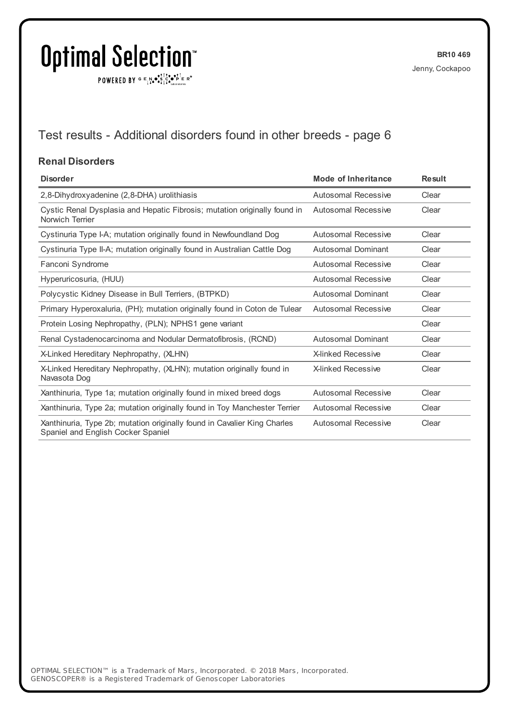$\texttt{POWERED BY} \xrightarrow{\mathbf{c}} \mathbb{I} \underset{\mathbf{a}}{\mathbf{a}} \bullet \underset{\mathbf{a}}{\mathbf{a}} \underset{\mathbf{b}}{\mathbf{a}} \circ \underset{\mathbf{b}}{\mathbf{b}} \overset{\mathbf{c}}{\mathbf{b}} \underset{\mathbf{b}}{\mathbf{b}} \circ \underset{\mathbf{c}}{\mathbf{b}} \overset{\mathbf{c}}{\mathbf{b}} \mathbf{c}} \mathbf{c}^{\circ}$ 

## Test results - Additional disorders found in other breeds - page 6

#### **Renal Disorders**

| <b>Disorder</b>                                                                                                | <b>Mode of Inheritance</b> | <b>Result</b> |
|----------------------------------------------------------------------------------------------------------------|----------------------------|---------------|
| 2,8-Dihydroxyadenine (2,8-DHA) urolithiasis                                                                    | Autosomal Recessive        | Clear         |
| Cystic Renal Dysplasia and Hepatic Fibrosis; mutation originally found in<br>Norwich Terrier                   | Autosomal Recessive        | Clear         |
| Cystinuria Type I-A; mutation originally found in Newfoundland Dog                                             | Autosomal Recessive        | Clear         |
| Cystinuria Type II-A; mutation originally found in Australian Cattle Dog                                       | <b>Autosomal Dominant</b>  | Clear         |
| Fanconi Syndrome                                                                                               | Autosomal Recessive        | Clear         |
| Hyperuricosuria, (HUU)                                                                                         | Autosomal Recessive        | Clear         |
| Polycystic Kidney Disease in Bull Terriers, (BTPKD)                                                            | Autosomal Dominant         | Clear         |
| Primary Hyperoxaluria, (PH); mutation originally found in Coton de Tulear                                      | <b>Autosomal Recessive</b> | Clear         |
| Protein Losing Nephropathy, (PLN); NPHS1 gene variant                                                          |                            | Clear         |
| Renal Cystadenocarcinoma and Nodular Dermatofibrosis, (RCND)                                                   | <b>Autosomal Dominant</b>  | Clear         |
| X-Linked Hereditary Nephropathy, (XLHN)                                                                        | <b>X-linked Recessive</b>  | Clear         |
| X-Linked Hereditary Nephropathy, (XLHN); mutation originally found in<br>Navasota Dog                          | <b>X-linked Recessive</b>  | Clear         |
| Xanthinuria, Type 1a; mutation originally found in mixed breed dogs                                            | <b>Autosomal Recessive</b> | Clear         |
| Xanthinuria, Type 2a; mutation originally found in Toy Manchester Terrier                                      | Autosomal Recessive        | Clear         |
| Xanthinuria, Type 2b; mutation originally found in Cavalier King Charles<br>Spaniel and English Cocker Spaniel | Autosomal Recessive        | Clear         |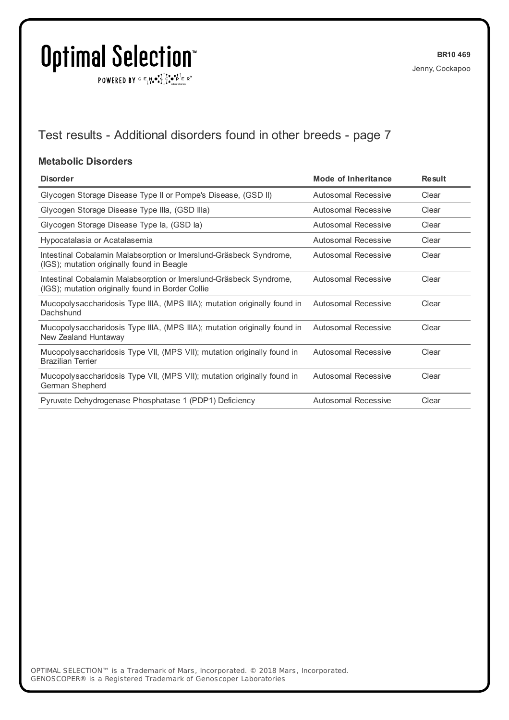$\texttt{POWERED BY} \xrightarrow{\mathbf{c}} \mathbb{I} \underset{\mathbf{a}}{\mathbf{a}} \bullet \underset{\mathbf{a}}{\mathbf{a}} \underset{\mathbf{b}}{\mathbf{a}} \circ \underset{\mathbf{b}}{\mathbf{b}} \overset{\mathbf{c}}{\mathbf{b}} \underset{\mathbf{b}}{\mathbf{b}} \circ \underset{\mathbf{c}}{\mathbf{b}} \overset{\mathbf{c}}{\mathbf{b}} \mathbf{c}} \mathbf{c}^{\circ}$ 

## Test results - Additional disorders found in other breeds - page 7

#### **Metabolic Disorders**

| <b>Disorder</b>                                                                                                         | Mode of Inheritance        | <b>Result</b> |
|-------------------------------------------------------------------------------------------------------------------------|----------------------------|---------------|
| Glycogen Storage Disease Type II or Pompe's Disease, (GSD II)                                                           | <b>Autosomal Recessive</b> | Clear         |
| Glycogen Storage Disease Type IIIa, (GSD IIIa)                                                                          | Autosomal Recessive        | Clear         |
| Glycogen Storage Disease Type la, (GSD la)                                                                              | <b>Autosomal Recessive</b> | Clear         |
| Hypocatalasia or Acatalasemia                                                                                           | Autosomal Recessive        | Clear         |
| Intestinal Cobalamin Malabsorption or Imerslund-Gräsbeck Syndrome,<br>(IGS); mutation originally found in Beagle        | Autosomal Recessive        | Clear         |
| Intestinal Cobalamin Malabsorption or Imerslund-Gräsbeck Syndrome,<br>(IGS); mutation originally found in Border Collie | Autosomal Recessive        | Clear         |
| Mucopolysaccharidosis Type IIIA, (MPS IIIA); mutation originally found in<br>Dachshund                                  | <b>Autosomal Recessive</b> | Clear         |
| Mucopolysaccharidosis Type IIIA, (MPS IIIA); mutation originally found in<br>New Zealand Huntaway                       | <b>Autosomal Recessive</b> | Clear         |
| Mucopolysaccharidosis Type VII, (MPS VII); mutation originally found in<br><b>Brazilian Terrier</b>                     | <b>Autosomal Recessive</b> | Clear         |
| Mucopolysaccharidosis Type VII, (MPS VII); mutation originally found in<br>German Shepherd                              | <b>Autosomal Recessive</b> | Clear         |
| Pyruvate Dehydrogenase Phosphatase 1 (PDP1) Deficiency                                                                  | <b>Autosomal Recessive</b> | Clear         |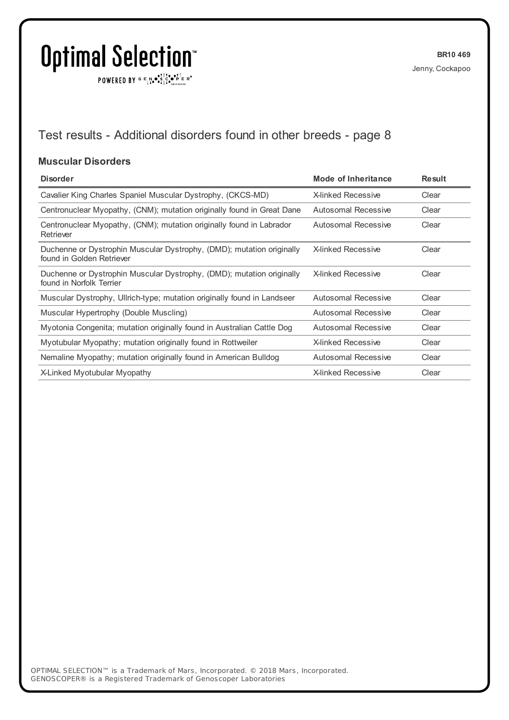$\texttt{POWERED BY} \xrightarrow{\mathbf{c}} \mathbb{I} \underset{\mathbf{a}}{\mathbf{a}} \bullet \underset{\mathbf{a}}{\mathbf{a}} \underset{\mathbf{b}}{\mathbf{a}} \circ \underset{\mathbf{b}}{\mathbf{b}} \overset{\mathbf{c}}{\mathbf{b}} \underset{\mathbf{b}}{\mathbf{b}} \circ \underset{\mathbf{c}}{\mathbf{b}} \overset{\mathbf{c}}{\mathbf{b}} \mathbf{c}} \mathbf{c}^{\circ}$ 

## Test results - Additional disorders found in other breeds - page 8

#### **Muscular Disorders**

| <b>Disorder</b>                                                                                    | Mode of Inheritance        | <b>Result</b> |
|----------------------------------------------------------------------------------------------------|----------------------------|---------------|
| Cavalier King Charles Spaniel Muscular Dystrophy, (CKCS-MD)                                        | X-linked Recessive         | Clear         |
| Centronuclear Myopathy, (CNM); mutation originally found in Great Dane                             | Autosomal Recessive        | Clear         |
| Centronuclear Myopathy, (CNM); mutation originally found in Labrador<br>Retriever                  | <b>Autosomal Recessive</b> | Clear         |
| Duchenne or Dystrophin Muscular Dystrophy, (DMD); mutation originally<br>found in Golden Retriever | <b>X-linked Recessive</b>  | Clear         |
| Duchenne or Dystrophin Muscular Dystrophy, (DMD); mutation originally<br>found in Norfolk Terrier  | <b>X-linked Recessive</b>  | Clear         |
| Muscular Dystrophy, Ullrich-type; mutation originally found in Landseer                            | <b>Autosomal Recessive</b> | Clear         |
| Muscular Hypertrophy (Double Muscling)                                                             | Autosomal Recessive        | Clear         |
| Myotonia Congenita; mutation originally found in Australian Cattle Dog                             | Autosomal Recessive        | Clear         |
| Myotubular Myopathy; mutation originally found in Rottweiler                                       | <b>X-linked Recessive</b>  | Clear         |
| Nemaline Myopathy; mutation originally found in American Bulldog                                   | Autosomal Recessive        | Clear         |
| X-Linked Myotubular Myopathy                                                                       | <b>X-linked Recessive</b>  | Clear         |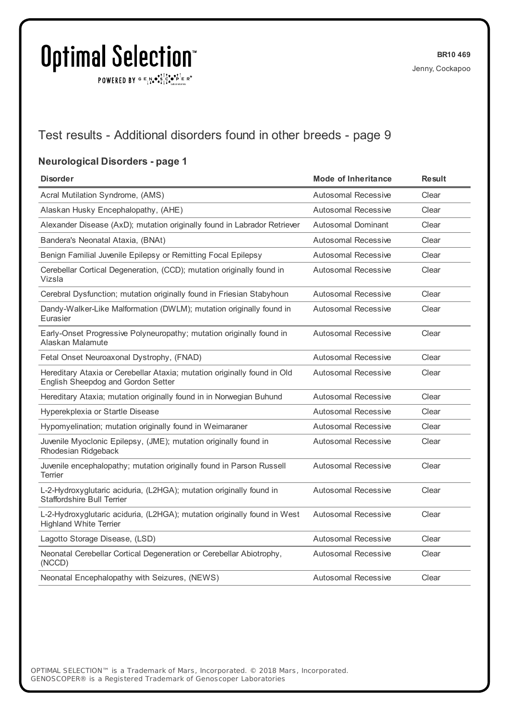$\texttt{POWERED BY} \xrightarrow{\mathbf{c}} \mathbb{I} \underset{\mathbf{a}}{\mathbf{a}} \bullet \underset{\mathbf{a}}{\mathbf{a}} \underset{\mathbf{b}}{\mathbf{a}} \circ \underset{\mathbf{b}}{\mathbf{b}} \overset{\mathbf{c}}{\mathbf{b}} \underset{\mathbf{b}}{\mathbf{b}} \circ \underset{\mathbf{c}}{\mathbf{b}} \overset{\mathbf{c}}{\mathbf{b}} \mathbf{c}} \mathbf{c}^{\circ}$ 

### Test results - Additional disorders found in other breeds - page 9

#### **Neurological Disorders - page 1**

| <b>Disorder</b>                                                                                                | <b>Mode of Inheritance</b> | <b>Result</b> |
|----------------------------------------------------------------------------------------------------------------|----------------------------|---------------|
| Acral Mutilation Syndrome, (AMS)                                                                               | Autosomal Recessive        | Clear         |
| Alaskan Husky Encephalopathy, (AHE)                                                                            | Autosomal Recessive        | Clear         |
| Alexander Disease (AxD); mutation originally found in Labrador Retriever                                       | <b>Autosomal Dominant</b>  | Clear         |
| Bandera's Neonatal Ataxia, (BNAt)                                                                              | <b>Autosomal Recessive</b> | Clear         |
| Benign Familial Juvenile Epilepsy or Remitting Focal Epilepsy                                                  | <b>Autosomal Recessive</b> | Clear         |
| Cerebellar Cortical Degeneration, (CCD); mutation originally found in<br>Vizsla                                | <b>Autosomal Recessive</b> | Clear         |
| Cerebral Dysfunction; mutation originally found in Friesian Stabyhoun                                          | Autosomal Recessive        | Clear         |
| Dandy-Walker-Like Malformation (DWLM); mutation originally found in<br>Eurasier                                | <b>Autosomal Recessive</b> | Clear         |
| Early-Onset Progressive Polyneuropathy; mutation originally found in<br>Alaskan Malamute                       | <b>Autosomal Recessive</b> | Clear         |
| Fetal Onset Neuroaxonal Dystrophy, (FNAD)                                                                      | <b>Autosomal Recessive</b> | Clear         |
| Hereditary Ataxia or Cerebellar Ataxia; mutation originally found in Old<br>English Sheepdog and Gordon Setter | Autosomal Recessive        | Clear         |
| Hereditary Ataxia; mutation originally found in in Norwegian Buhund                                            | Autosomal Recessive        | Clear         |
| Hyperekplexia or Startle Disease                                                                               | <b>Autosomal Recessive</b> | Clear         |
| Hypomyelination; mutation originally found in Weimaraner                                                       | <b>Autosomal Recessive</b> | Clear         |
| Juvenile Myoclonic Epilepsy, (JME); mutation originally found in<br>Rhodesian Ridgeback                        | <b>Autosomal Recessive</b> | Clear         |
| Juvenile encephalopathy; mutation originally found in Parson Russell<br><b>Terrier</b>                         | <b>Autosomal Recessive</b> | Clear         |
| L-2-Hydroxyglutaric aciduria, (L2HGA); mutation originally found in<br><b>Staffordshire Bull Terrier</b>       | <b>Autosomal Recessive</b> | Clear         |
| L-2-Hydroxyglutaric aciduria, (L2HGA); mutation originally found in West<br><b>Highland White Terrier</b>      | <b>Autosomal Recessive</b> | Clear         |
| Lagotto Storage Disease, (LSD)                                                                                 | <b>Autosomal Recessive</b> | Clear         |
| Neonatal Cerebellar Cortical Degeneration or Cerebellar Abiotrophy,<br>(NCCD)                                  | <b>Autosomal Recessive</b> | Clear         |
| Neonatal Encephalopathy with Seizures, (NEWS)                                                                  | Autosomal Recessive        | Clear         |
|                                                                                                                |                            |               |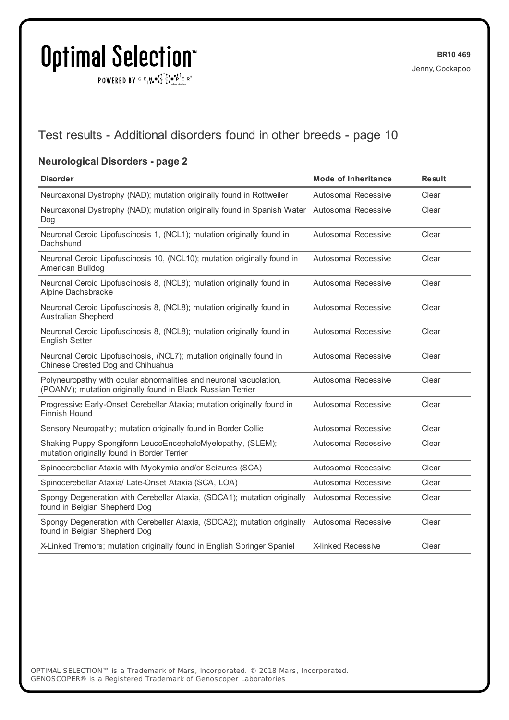$\texttt{POWERED BY} \xrightarrow{\mathbf{c}} \mathbb{I} \underset{\mathbf{a}}{\mathbf{a}} \bullet \underset{\mathbf{a}}{\mathbf{a}} \underset{\mathbf{b}}{\mathbf{a}} \circ \underset{\mathbf{b}}{\mathbf{b}} \overset{\mathbf{c}}{\mathbf{b}} \underset{\mathbf{b}}{\mathbf{b}} \circ \underset{\mathbf{c}}{\mathbf{b}} \overset{\mathbf{c}}{\mathbf{b}} \mathbf{c}} \mathbf{c}^{\circ}$ 

### Test results - Additional disorders found in other breeds - page 10

#### **Neurological Disorders - page 2**

| <b>Disorder</b>                                                                                                                   | <b>Mode of Inheritance</b> | <b>Result</b> |
|-----------------------------------------------------------------------------------------------------------------------------------|----------------------------|---------------|
| Neuroaxonal Dystrophy (NAD); mutation originally found in Rottweiler                                                              | <b>Autosomal Recessive</b> | Clear         |
| Neuroaxonal Dystrophy (NAD); mutation originally found in Spanish Water Autosomal Recessive<br>Dog                                |                            | Clear         |
| Neuronal Ceroid Lipofuscinosis 1, (NCL1); mutation originally found in<br>Dachshund                                               | <b>Autosomal Recessive</b> | Clear         |
| Neuronal Ceroid Lipofuscinosis 10, (NCL10); mutation originally found in<br>American Bulldog                                      | Autosomal Recessive        | Clear         |
| Neuronal Ceroid Lipofuscinosis 8, (NCL8); mutation originally found in<br>Alpine Dachsbracke                                      | <b>Autosomal Recessive</b> | Clear         |
| Neuronal Ceroid Lipofuscinosis 8, (NCL8); mutation originally found in<br><b>Australian Shepherd</b>                              | <b>Autosomal Recessive</b> | Clear         |
| Neuronal Ceroid Lipofuscinosis 8, (NCL8); mutation originally found in<br><b>English Setter</b>                                   | <b>Autosomal Recessive</b> | Clear         |
| Neuronal Ceroid Lipofuscinosis, (NCL7); mutation originally found in<br>Chinese Crested Dog and Chihuahua                         | <b>Autosomal Recessive</b> | Clear         |
| Polyneuropathy with ocular abnormalities and neuronal vacuolation,<br>(POANV); mutation originally found in Black Russian Terrier | <b>Autosomal Recessive</b> | Clear         |
| Progressive Early-Onset Cerebellar Ataxia; mutation originally found in<br>Finnish Hound                                          | <b>Autosomal Recessive</b> | Clear         |
| Sensory Neuropathy; mutation originally found in Border Collie                                                                    | Autosomal Recessive        | Clear         |
| Shaking Puppy Spongiform LeucoEncephaloMyelopathy, (SLEM);<br>mutation originally found in Border Terrier                         | <b>Autosomal Recessive</b> | Clear         |
| Spinocerebellar Ataxia with Myokymia and/or Seizures (SCA)                                                                        | Autosomal Recessive        | Clear         |
| Spinocerebellar Ataxia/ Late-Onset Ataxia (SCA, LOA)                                                                              | Autosomal Recessive        | Clear         |
| Spongy Degeneration with Cerebellar Ataxia, (SDCA1); mutation originally<br>found in Belgian Shepherd Dog                         | <b>Autosomal Recessive</b> | Clear         |
| Spongy Degeneration with Cerebellar Ataxia, (SDCA2); mutation originally<br>found in Belgian Shepherd Dog                         | <b>Autosomal Recessive</b> | Clear         |
| X-Linked Tremors; mutation originally found in English Springer Spaniel                                                           | X-linked Recessive         | Clear         |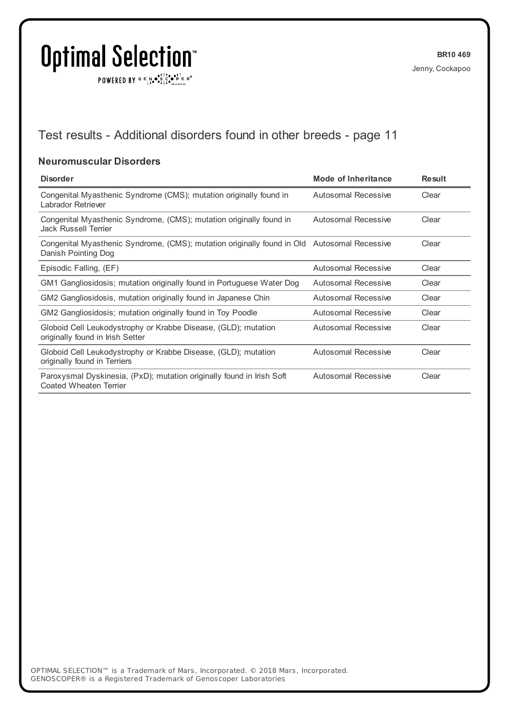$\texttt{POWERED BY} \xrightarrow{\mathbf{c}} \mathbb{I} \underset{\mathbf{a}}{\mathbf{a}} \bullet \underset{\mathbf{a}}{\mathbf{a}} \underset{\mathbf{b}}{\mathbf{a}} \circ \underset{\mathbf{b}}{\mathbf{b}} \overset{\mathbf{c}}{\mathbf{b}} \underset{\mathbf{b}}{\mathbf{b}} \circ \underset{\mathbf{c}}{\mathbf{b}} \overset{\mathbf{c}}{\mathbf{b}} \mathbf{c}} \mathbf{c}^{\circ}$ 

## Test results - Additional disorders found in other breeds - page 11

#### **Neuromuscular Disorders**

| <b>Disorder</b>                                                                                                    | Mode of Inheritance        | <b>Result</b> |
|--------------------------------------------------------------------------------------------------------------------|----------------------------|---------------|
| Congenital Myasthenic Syndrome (CMS); mutation originally found in<br>Labrador Retriever                           | Autosomal Recessive        | Clear         |
| Congenital Myasthenic Syndrome, (CMS); mutation originally found in<br>Jack Russell Terrier                        | <b>Autosomal Recessive</b> | Clear         |
| Congenital Myasthenic Syndrome, (CMS); mutation originally found in Old Autosomal Recessive<br>Danish Pointing Dog |                            | Clear         |
| Episodic Falling, (EF)                                                                                             | Autosomal Recessive        | Clear         |
| GM1 Gangliosidosis; mutation originally found in Portuguese Water Dog                                              | Autosomal Recessive        | Clear         |
| GM2 Gangliosidosis, mutation originally found in Japanese Chin                                                     | Autosomal Recessive        | Clear         |
| GM2 Gangliosidosis; mutation originally found in Toy Poodle                                                        | Autosomal Recessive        | Clear         |
| Globoid Cell Leukodystrophy or Krabbe Disease, (GLD); mutation<br>originally found in Irish Setter                 | Autosomal Recessive        | Clear         |
| Globoid Cell Leukodystrophy or Krabbe Disease, (GLD); mutation<br>originally found in Terriers                     | Autosomal Recessive        | Clear         |
| Paroxysmal Dyskinesia, (PxD); mutation originally found in Irish Soft<br>Coated Wheaten Terrier                    | Autosomal Recessive        | Clear         |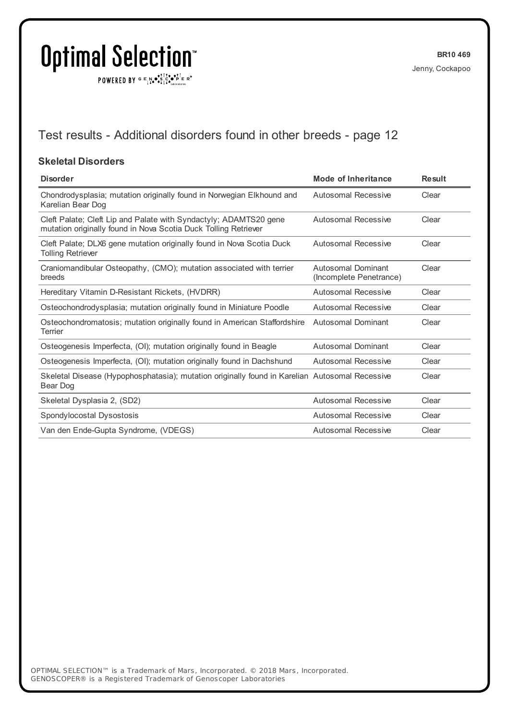$\texttt{POWERED BY} \xrightarrow{\mathbf{c}} \mathbb{I} \underset{\mathbf{a}}{\mathbf{a}} \bullet \underset{\mathbf{a}}{\mathbf{a}} \underset{\mathbf{b}}{\mathbf{a}} \circ \underset{\mathbf{b}}{\mathbf{b}} \overset{\mathbf{c}}{\mathbf{b}} \underset{\mathbf{b}}{\mathbf{b}} \circ \underset{\mathbf{c}}{\mathbf{b}} \overset{\mathbf{c}}{\mathbf{b}} \mathbf{c}} \mathbf{c}^{\circ}$ 

## Test results - Additional disorders found in other breeds - page 12

#### **Skeletal Disorders**

| <b>Disorder</b>                                                                                                                      | <b>Mode of Inheritance</b>                    | <b>Result</b> |
|--------------------------------------------------------------------------------------------------------------------------------------|-----------------------------------------------|---------------|
| Chondrodysplasia; mutation originally found in Norwegian Elkhound and<br>Karelian Bear Dog                                           | Autosomal Recessive                           | Clear         |
| Cleft Palate; Cleft Lip and Palate with Syndactyly; ADAMTS20 gene<br>mutation originally found in Nova Scotia Duck Tolling Retriever | <b>Autosomal Recessive</b>                    | Clear         |
| Cleft Palate; DLX6 gene mutation originally found in Nova Scotia Duck<br><b>Tolling Retriever</b>                                    | Autosomal Recessive                           | Clear         |
| Craniomandibular Osteopathy, (CMO); mutation associated with terrier<br>breeds                                                       | Autosomal Dominant<br>(Incomplete Penetrance) | Clear         |
| Hereditary Vitamin D-Resistant Rickets, (HVDRR)                                                                                      | Autosomal Recessive                           | Clear         |
| Osteochondrodysplasia; mutation originally found in Miniature Poodle                                                                 | Autosomal Recessive                           | Clear         |
| Osteochondromatosis; mutation originally found in American Staffordshire<br>Terrier                                                  | Autosomal Dominant                            | Clear         |
| Osteogenesis Imperfecta, (OI); mutation originally found in Beagle                                                                   | Autosomal Dominant                            | Clear         |
| Osteogenesis Imperfecta, (OI); mutation originally found in Dachshund                                                                | Autosomal Recessive                           | Clear         |
| Skeletal Disease (Hypophosphatasia); mutation originally found in Karelian Autosomal Recessive<br>Bear Dog                           |                                               | Clear         |
| Skeletal Dysplasia 2, (SD2)                                                                                                          | <b>Autosomal Recessive</b>                    | Clear         |
| Spondylocostal Dysostosis                                                                                                            | Autosomal Recessive                           | Clear         |
| Van den Ende-Gupta Syndrome, (VDEGS)                                                                                                 | Autosomal Recessive                           | Clear         |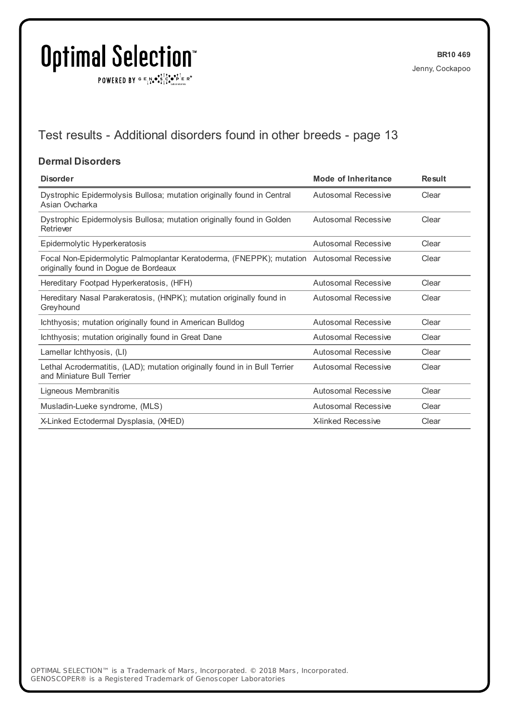$\texttt{POWERED BY} \xrightarrow{\mathbf{c}} \mathbb{I} \underset{\mathbf{a}}{\overset{\mathbf{r}}{\mathbf{a}}} \overset{\mathbf{r}}{\overset{\mathbf{r}}{\mathbf{s}}} \underset{\mathbf{a}}{\overset{\mathbf{r}}{\mathbf{a}}} \overset{\mathbf{r}}{\overset{\mathbf{r}}{\mathbf{s}}} \overset{\mathbf{r}}{\overset{\mathbf{r}}{\mathbf{s}}} \overset{\mathbf{r}}{\overset{\mathbf{r}}{\mathbf{s}}} \overset{\mathbf{r}}{\overset{\mathbf{r}}{\mathbf{s}}} \overset{\mathbf{r}}{\overset{\mathbf{r}}{\mathbf{s}}} \overset{\mathbf{r}}$ 

## Test results - Additional disorders found in other breeds - page 13

#### **Dermal Disorders**

| <b>Disorder</b>                                                                                                                   | Mode of Inheritance       | <b>Result</b> |
|-----------------------------------------------------------------------------------------------------------------------------------|---------------------------|---------------|
| Dystrophic Epidermolysis Bullosa; mutation originally found in Central<br>Asian Ovcharka                                          | Autosomal Recessive       | Clear         |
| Dystrophic Epidermolysis Bullosa; mutation originally found in Golden<br>Retriever                                                | Autosomal Recessive       | Clear         |
| Epidermolytic Hyperkeratosis                                                                                                      | Autosomal Recessive       | Clear         |
| Focal Non-Epidermolytic Palmoplantar Keratoderma, (FNEPPK); mutation Autosomal Recessive<br>originally found in Dogue de Bordeaux |                           | Clear         |
| Hereditary Footpad Hyperkeratosis, (HFH)                                                                                          | Autosomal Recessive       | Clear         |
| Hereditary Nasal Parakeratosis, (HNPK); mutation originally found in<br>Greyhound                                                 | Autosomal Recessive       | Clear         |
| Ichthyosis; mutation originally found in American Bulldog                                                                         | Autosomal Recessive       | Clear         |
| Ichthyosis; mutation originally found in Great Dane                                                                               | Autosomal Recessive       | Clear         |
| Lamellar lchthyosis, (LI)                                                                                                         | Autosomal Recessive       | Clear         |
| Lethal Acrodermatitis, (LAD); mutation originally found in in Bull Terrier<br>and Miniature Bull Terrier                          | Autosomal Recessive       | Clear         |
| Ligneous Membranitis                                                                                                              | Autosomal Recessive       | Clear         |
| Musladin-Lueke syndrome, (MLS)                                                                                                    | Autosomal Recessive       | Clear         |
| X-Linked Ectodermal Dysplasia, (XHED)                                                                                             | <b>X-linked Recessive</b> | Clear         |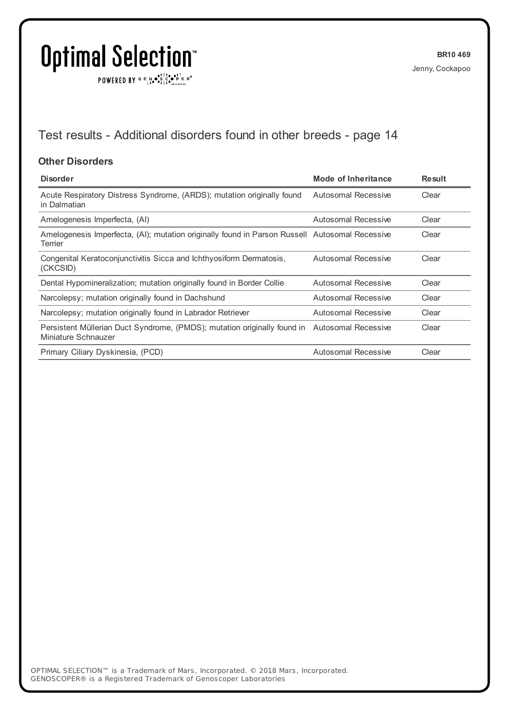$\texttt{POWERED BY} \xrightarrow{\mathbf{c}} \mathbb{I} \underset{\mathbf{a}}{\overset{\mathbf{r}}{\mathbf{a}}} \overset{\mathbf{r}}{\overset{\mathbf{r}}{\mathbf{s}}} \underset{\mathbf{a}}{\overset{\mathbf{r}}{\mathbf{a}}} \overset{\mathbf{r}}{\overset{\mathbf{r}}{\mathbf{s}}} \overset{\mathbf{r}}{\overset{\mathbf{r}}{\mathbf{s}}} \overset{\mathbf{r}}{\overset{\mathbf{r}}{\mathbf{s}}} \overset{\mathbf{r}}{\overset{\mathbf{r}}{\mathbf{s}}} \overset{\mathbf{r}}{\overset{\mathbf{r}}{\mathbf{s}}} \overset{\mathbf{r}}$ 

## Test results - Additional disorders found in other breeds - page 14

#### **Other Disorders**

| <b>Disorder</b>                                                                                                     | <b>Mode of Inheritance</b> | <b>Result</b> |
|---------------------------------------------------------------------------------------------------------------------|----------------------------|---------------|
| Acute Respiratory Distress Syndrome, (ARDS); mutation originally found<br>in Dalmatian                              | Autosomal Recessive        | Clear         |
| Amelogenesis Imperfecta, (AI)                                                                                       | Autosomal Recessive        | Clear         |
| Amelogenesis Imperfecta, (AI); mutation originally found in Parson Russell Autosomal Recessive<br>Terrier           |                            | Clear         |
| Congenital Keratoconjunctivitis Sicca and Ichthyosiform Dermatosis,<br>(CKCSID)                                     | Autosomal Recessive        | Clear         |
| Dental Hypomineralization; mutation originally found in Border Collie                                               | Autosomal Recessive        | Clear         |
| Narcolepsy; mutation originally found in Dachshund                                                                  | Autosomal Recessive        | Clear         |
| Narcolepsy; mutation originally found in Labrador Retriever                                                         | Autosomal Recessive        | Clear         |
| Persistent Müllerian Duct Syndrome, (PMDS); mutation originally found in Autosomal Recessive<br>Miniature Schnauzer |                            | Clear         |
| Primary Ciliary Dyskinesia, (PCD)                                                                                   | Autosomal Recessive        | Clear         |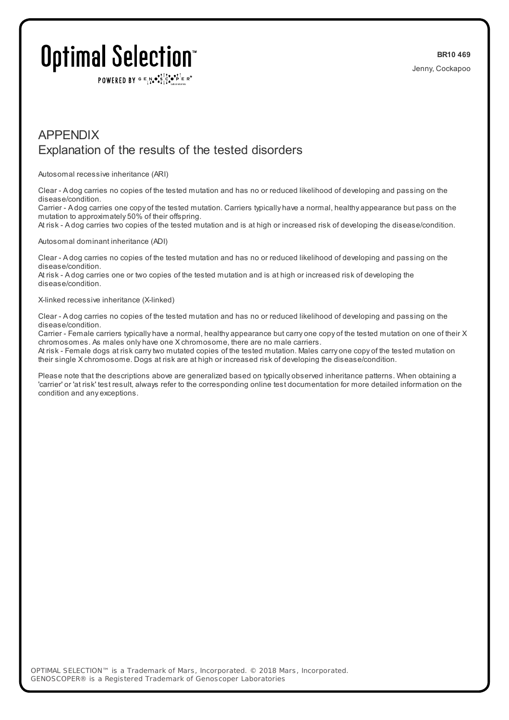POWERED BY  $G \in N$ .  $\mathbb{R}$ ,  $\mathbb{R}$ ,  $\mathbb{R}$ ,  $\mathbb{R}$   $\mathbb{R}$  is  $\mathbb{R}$ 

### APPENDIX Explanation of the results of the tested disorders

Autosomal recessive inheritance (ARI)

Clear - A dog carries no copies of the tested mutation and has no or reduced likelihood of developing and passing on the disease/condition.

Carrier - A dog carries one copy of the tested mutation. Carriers typically have a normal, healthy appearance but pass on the mutation to approximately 50% of their offspring.

At risk - A dog carries two copies of the tested mutation and is at high or increased risk of developing the disease/condition.

#### Autosomal dominant inheritance (ADI)

Clear - A dog carries no copies of the tested mutation and has no or reduced likelihood of developing and passing on the disease/condition.

At risk - A dog carries one or two copies of the tested mutation and is at high or increased risk of developing the disease/condition.

#### X-linked recessive inheritance (X-linked)

Clear - A dog carries no copies of the tested mutation and has no or reduced likelihood of developing and passing on the disease/condition.

Carrier - Female carriers typically have a normal, healthy appearance but carry one copy of the tested mutation on one of their X chromosomes. As males only have one X chromosome, there are no male carriers.

At risk - Female dogs at risk carrytwo mutated copies of the tested mutation. Males carry one copy of the tested mutation on their single X chromosome. Dogs at risk are at high or increased risk of developing the disease/condition.

Please note that the descriptions above are generalized based on typically observed inheritance patterns. When obtaining a 'carrier' or 'at risk' test result, always refer to the corresponding online test documentation for more detailed information on the condition and any exceptions.